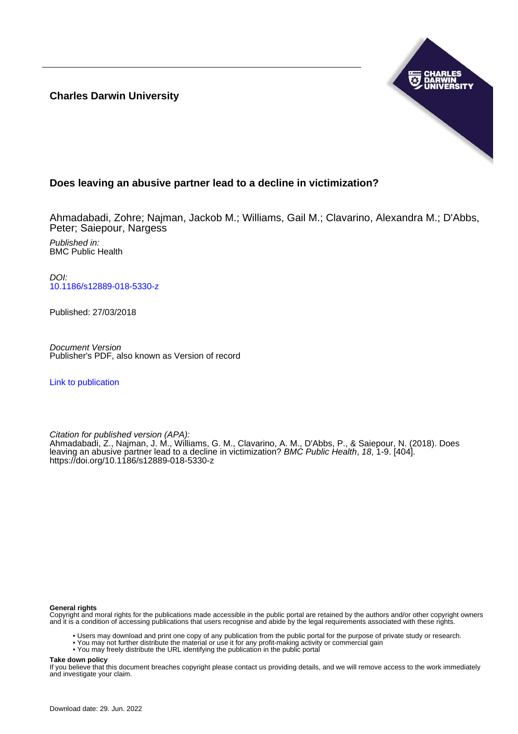**Charles Darwin University**



# **Does leaving an abusive partner lead to a decline in victimization?**

Ahmadabadi, Zohre; Najman, Jackob M.; Williams, Gail M.; Clavarino, Alexandra M.; D'Abbs, Peter; Saiepour, Nargess

Published in: BMC Public Health

DOI: [10.1186/s12889-018-5330-z](https://doi.org/10.1186/s12889-018-5330-z)

Published: 27/03/2018

Document Version Publisher's PDF, also known as Version of record

[Link to publication](https://researchers.cdu.edu.au/en/publications/05811c08-5bcf-4c83-9eb3-7fda3b9e55c4)

Citation for published version (APA): Ahmadabadi, Z., Najman, J. M., Williams, G. M., Clavarino, A. M., D'Abbs, P., & Saiepour, N. (2018). Does leaving an abusive partner lead to a decline in victimization? BMC Public Health, 18, 1-9. [404]. <https://doi.org/10.1186/s12889-018-5330-z>

#### **General rights**

Copyright and moral rights for the publications made accessible in the public portal are retained by the authors and/or other copyright owners and it is a condition of accessing publications that users recognise and abide by the legal requirements associated with these rights.

- Users may download and print one copy of any publication from the public portal for the purpose of private study or research.
- You may not further distribute the material or use it for any profit-making activity or commercial gain
- You may freely distribute the URL identifying the publication in the public portal

**Take down policy**

If you believe that this document breaches copyright please contact us providing details, and we will remove access to the work immediately and investigate your claim.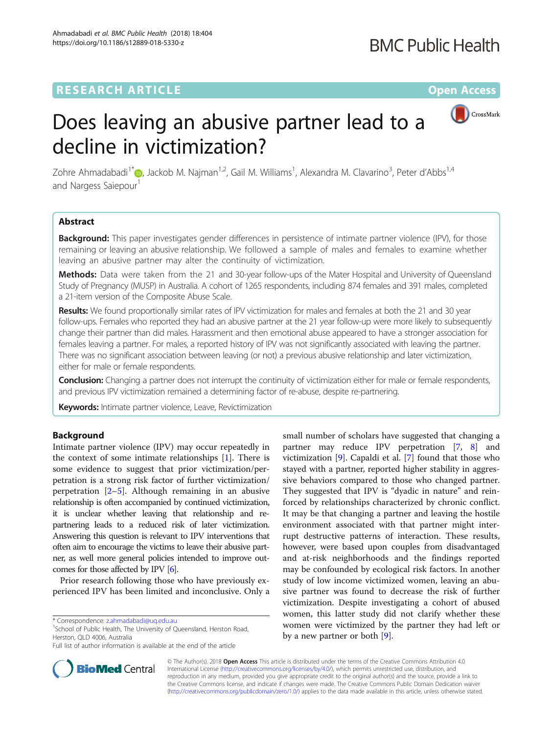# **RESEARCH ARTICLE Example 2014 12:30 The Contract of Contract ACCESS**



# Does leaving an abusive partner lead to a decline in victimization?

Zohre Ahmadabadi<sup>1\*</sup>®, Jackob M. Najman<sup>1,2</sup>, Gail M. Williams<sup>1</sup>, Alexandra M. Clavarino<sup>3</sup>, Peter d'Abbs<sup>1,4</sup> and Nargess Saiepour<sup>1</sup>

## Abstract

Background: This paper investigates gender differences in persistence of intimate partner violence (IPV), for those remaining or leaving an abusive relationship. We followed a sample of males and females to examine whether leaving an abusive partner may alter the continuity of victimization.

Methods: Data were taken from the 21 and 30-year follow-ups of the Mater Hospital and University of Queensland Study of Pregnancy (MUSP) in Australia. A cohort of 1265 respondents, including 874 females and 391 males, completed a 21-item version of the Composite Abuse Scale.

Results: We found proportionally similar rates of IPV victimization for males and females at both the 21 and 30 year follow-ups. Females who reported they had an abusive partner at the 21 year follow-up were more likely to subsequently change their partner than did males. Harassment and then emotional abuse appeared to have a stronger association for females leaving a partner. For males, a reported history of IPV was not significantly associated with leaving the partner. There was no significant association between leaving (or not) a previous abusive relationship and later victimization, either for male or female respondents.

**Conclusion:** Changing a partner does not interrupt the continuity of victimization either for male or female respondents, and previous IPV victimization remained a determining factor of re-abuse, despite re-partnering.

Keywords: Intimate partner violence, Leave, Revictimization

### Background

Intimate partner violence (IPV) may occur repeatedly in the context of some intimate relationships [[1\]](#page-8-0). There is some evidence to suggest that prior victimization/perpetration is a strong risk factor of further victimization/ perpetration  $[2-5]$  $[2-5]$  $[2-5]$  $[2-5]$  $[2-5]$ . Although remaining in an abusive relationship is often accompanied by continued victimization, it is unclear whether leaving that relationship and repartnering leads to a reduced risk of later victimization. Answering this question is relevant to IPV interventions that often aim to encourage the victims to leave their abusive partner, as well more general policies intended to improve outcomes for those affected by IPV [\[6](#page-8-0)].

Prior research following those who have previously experienced IPV has been limited and inconclusive. Only a

**BioMed Central** 

<sup>1</sup>School of Public Health, The University of Queensland, Herston Road, Herston, QLD 4006, Australia

Full list of author information is available at the end of the article



© The Author(s). 2018 Open Access This article is distributed under the terms of the Creative Commons Attribution 4.0 International License [\(http://creativecommons.org/licenses/by/4.0/](http://creativecommons.org/licenses/by/4.0/)), which permits unrestricted use, distribution, and reproduction in any medium, provided you give appropriate credit to the original author(s) and the source, provide a link to the Creative Commons license, and indicate if changes were made. The Creative Commons Public Domain Dedication waiver [\(http://creativecommons.org/publicdomain/zero/1.0/](http://creativecommons.org/publicdomain/zero/1.0/)) applies to the data made available in this article, unless otherwise stated.

<sup>\*</sup> Correspondence: [z.ahmadabadi@uq.edu.au](mailto:z.ahmadabadi@uq.edu.au) <sup>1</sup>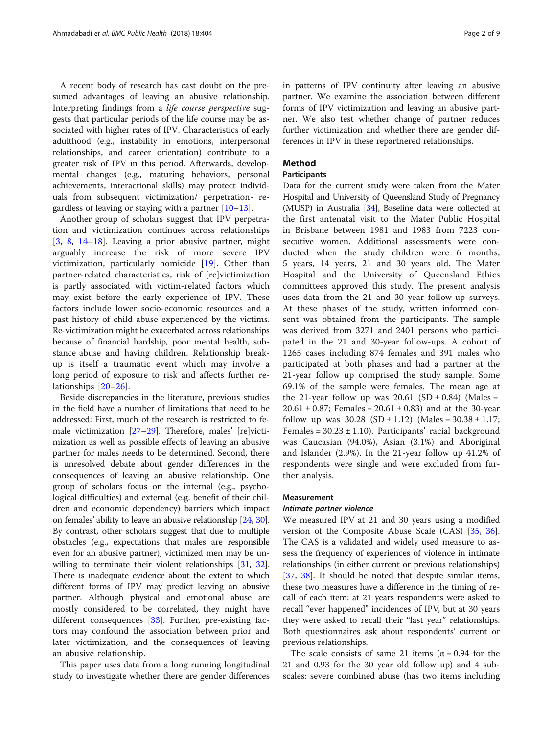A recent body of research has cast doubt on the presumed advantages of leaving an abusive relationship. Interpreting findings from a life course perspective suggests that particular periods of the life course may be associated with higher rates of IPV. Characteristics of early adulthood (e.g., instability in emotions, interpersonal relationships, and career orientation) contribute to a greater risk of IPV in this period. Afterwards, developmental changes (e.g., maturing behaviors, personal achievements, interactional skills) may protect individuals from subsequent victimization/ perpetration- regardless of leaving or staying with a partner  $[10-13]$  $[10-13]$  $[10-13]$  $[10-13]$  $[10-13]$ .

Another group of scholars suggest that IPV perpetration and victimization continues across relationships [[3,](#page-8-0) [8](#page-8-0), [14](#page-8-0)–[18](#page-8-0)]. Leaving a prior abusive partner, might arguably increase the risk of more severe IPV victimization, particularly homicide [[19\]](#page-8-0). Other than partner-related characteristics, risk of [re]victimization is partly associated with victim-related factors which may exist before the early experience of IPV. These factors include lower socio-economic resources and a past history of child abuse experienced by the victims. Re-victimization might be exacerbated across relationships because of financial hardship, poor mental health, substance abuse and having children. Relationship breakup is itself a traumatic event which may involve a long period of exposure to risk and affects further relationships [[20](#page-8-0)–[26\]](#page-9-0).

Beside discrepancies in the literature, previous studies in the field have a number of limitations that need to be addressed: First, much of the research is restricted to female victimization [\[27](#page-9-0)–[29\]](#page-9-0). Therefore, males' [re]victimization as well as possible effects of leaving an abusive partner for males needs to be determined. Second, there is unresolved debate about gender differences in the consequences of leaving an abusive relationship. One group of scholars focus on the internal (e.g., psychological difficulties) and external (e.g. benefit of their children and economic dependency) barriers which impact on females' ability to leave an abusive relationship [\[24,](#page-9-0) [30](#page-9-0)]. By contrast, other scholars suggest that due to multiple obstacles (e.g., expectations that males are responsible even for an abusive partner), victimized men may be unwilling to terminate their violent relationships [\[31,](#page-9-0) [32](#page-9-0)]. There is inadequate evidence about the extent to which different forms of IPV may predict leaving an abusive partner. Although physical and emotional abuse are mostly considered to be correlated, they might have different consequences [\[33](#page-9-0)]. Further, pre-existing factors may confound the association between prior and later victimization, and the consequences of leaving an abusive relationship.

This paper uses data from a long running longitudinal study to investigate whether there are gender differences

in patterns of IPV continuity after leaving an abusive partner. We examine the association between different forms of IPV victimization and leaving an abusive partner. We also test whether change of partner reduces further victimization and whether there are gender differences in IPV in these repartnered relationships.

#### Method

#### **Participants**

Data for the current study were taken from the Mater Hospital and University of Queensland Study of Pregnancy (MUSP) in Australia [[34](#page-9-0)], Baseline data were collected at the first antenatal visit to the Mater Public Hospital in Brisbane between 1981 and 1983 from 7223 consecutive women. Additional assessments were conducted when the study children were 6 months, 5 years, 14 years, 21 and 30 years old. The Mater Hospital and the University of Queensland Ethics committees approved this study. The present analysis uses data from the 21 and 30 year follow-up surveys. At these phases of the study, written informed consent was obtained from the participants. The sample was derived from 3271 and 2401 persons who participated in the 21 and 30-year follow-ups. A cohort of 1265 cases including 874 females and 391 males who participated at both phases and had a partner at the 21-year follow up comprised the study sample. Some 69.1% of the sample were females. The mean age at the 21-year follow up was  $20.61$  (SD  $\pm$  0.84) (Males =  $20.61 \pm 0.87$ ; Females =  $20.61 \pm 0.83$ ) and at the 30-year follow up was  $30.28$  (SD  $\pm$  1.12) (Males =  $30.38 \pm 1.17$ ; Females =  $30.23 \pm 1.10$ ). Participants' racial background was Caucasian (94.0%), Asian (3.1%) and Aboriginal and Islander (2.9%). In the 21-year follow up 41.2% of respondents were single and were excluded from further analysis.

#### Measurement

#### Intimate partner violence

We measured IPV at 21 and 30 years using a modified version of the Composite Abuse Scale (CAS) [[35,](#page-9-0) [36](#page-9-0)]. The CAS is a validated and widely used measure to assess the frequency of experiences of violence in intimate relationships (in either current or previous relationships) [[37,](#page-9-0) [38](#page-9-0)]. It should be noted that despite similar items, these two measures have a difference in the timing of recall of each item: at 21 years respondents were asked to recall "ever happened" incidences of IPV, but at 30 years they were asked to recall their "last year" relationships. Both questionnaires ask about respondents' current or previous relationships.

The scale consists of same 21 items ( $\alpha$  = 0.94 for the 21 and 0.93 for the 30 year old follow up) and 4 subscales: severe combined abuse (has two items including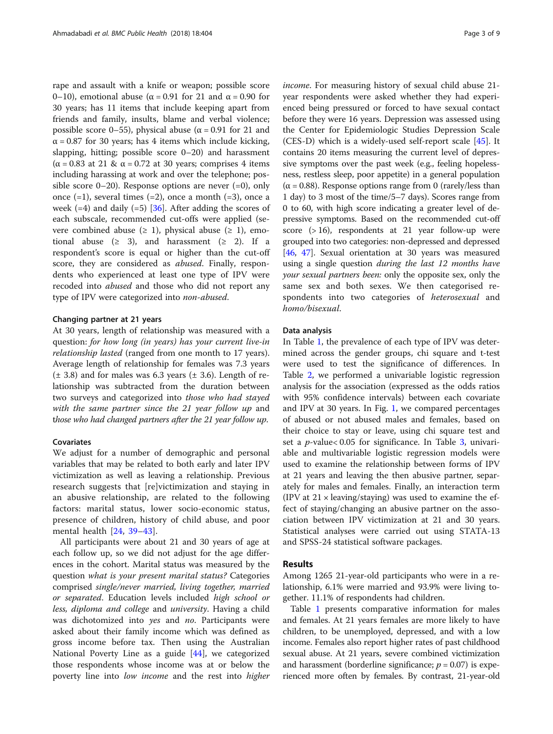rape and assault with a knife or weapon; possible score 0–10), emotional abuse (α = 0.91 for 21 and α = 0.90 for 30 years; has 11 items that include keeping apart from friends and family, insults, blame and verbal violence; possible score 0–55), physical abuse ( $\alpha$  = 0.91 for 21 and  $\alpha$  = 0.87 for 30 years; has 4 items which include kicking, slapping, hitting; possible score 0–20) and harassment ( $\alpha$  = 0.83 at 21 &  $\alpha$  = 0.72 at 30 years; comprises 4 items including harassing at work and over the telephone; possible score  $0-20$ ). Response options are never  $(=0)$ , only once  $(=1)$ , several times  $(=2)$ , once a month  $(=3)$ , once a week  $(=4)$  and daily  $(=5)$   $[36]$  $[36]$ . After adding the scores of each subscale, recommended cut-offs were applied (severe combined abuse ( $\geq$  1), physical abuse ( $\geq$  1), emotional abuse  $(≥ 3)$ , and harassment  $(≥ 2)$ . If a respondent's score is equal or higher than the cut-off score, they are considered as *abused*. Finally, respondents who experienced at least one type of IPV were recoded into abused and those who did not report any type of IPV were categorized into non-abused.

#### Changing partner at 21 years

At 30 years, length of relationship was measured with a question: for how long (in years) has your current live-in relationship lasted (ranged from one month to 17 years). Average length of relationship for females was 7.3 years  $(\pm 3.8)$  and for males was 6.3 years  $(\pm 3.6)$ . Length of relationship was subtracted from the duration between two surveys and categorized into those who had stayed with the same partner since the 21 year follow up and those who had changed partners after the 21 year follow up.

#### Covariates

We adjust for a number of demographic and personal variables that may be related to both early and later IPV victimization as well as leaving a relationship. Previous research suggests that [re]victimization and staying in an abusive relationship, are related to the following factors: marital status, lower socio-economic status, presence of children, history of child abuse, and poor mental health [\[24](#page-9-0), [39](#page-9-0)–[43](#page-9-0)].

All participants were about 21 and 30 years of age at each follow up, so we did not adjust for the age differences in the cohort. Marital status was measured by the question what is your present marital status? Categories comprised single/never married, living together, married or separated. Education levels included high school or less, diploma and college and university. Having a child was dichotomized into yes and no. Participants were asked about their family income which was defined as gross income before tax. Then using the Australian National Poverty Line as a guide [[44\]](#page-9-0), we categorized those respondents whose income was at or below the poverty line into low income and the rest into higher income. For measuring history of sexual child abuse 21 year respondents were asked whether they had experienced being pressured or forced to have sexual contact before they were 16 years. Depression was assessed using the Center for Epidemiologic Studies Depression Scale (CES-D) which is a widely-used self-report scale [\[45](#page-9-0)]. It contains 20 items measuring the current level of depressive symptoms over the past week (e.g., feeling hopelessness, restless sleep, poor appetite) in a general population  $(\alpha = 0.88)$ . Response options range from 0 (rarely/less than 1 day) to 3 most of the time/5–7 days). Scores range from 0 to 60, with high score indicating a greater level of depressive symptoms. Based on the recommended cut-off score (> 16), respondents at 21 year follow-up were grouped into two categories: non-depressed and depressed [[46](#page-9-0), [47\]](#page-9-0). Sexual orientation at 30 years was measured using a single question during the last 12 months have your sexual partners been: only the opposite sex, only the same sex and both sexes. We then categorised respondents into two categories of heterosexual and homo/bisexual.

#### Data analysis

In Table [1](#page-4-0), the prevalence of each type of IPV was determined across the gender groups, chi square and t-test were used to test the significance of differences. In Table [2](#page-5-0), we performed a univariable logistic regression analysis for the association (expressed as the odds ratios with 95% confidence intervals) between each covariate and IPV at 30 years. In Fig. [1,](#page-5-0) we compared percentages of abused or not abused males and females, based on their choice to stay or leave, using chi square test and set a *p*-value  $0.05$  for significance. In Table [3](#page-6-0), univariable and multivariable logistic regression models were used to examine the relationship between forms of IPV at 21 years and leaving the then abusive partner, separately for males and females. Finally, an interaction term (IPV at  $21 \times$  leaving/staying) was used to examine the effect of staying/changing an abusive partner on the association between IPV victimization at 21 and 30 years. Statistical analyses were carried out using STATA-13 and SPSS-24 statistical software packages.

#### Results

Among 1265 21-year-old participants who were in a relationship, 6.1% were married and 93.9% were living together. 11.1% of respondents had children.

Table [1](#page-4-0) presents comparative information for males and females. At 21 years females are more likely to have children, to be unemployed, depressed, and with a low income. Females also report higher rates of past childhood sexual abuse. At 21 years, severe combined victimization and harassment (borderline significance;  $p = 0.07$ ) is experienced more often by females. By contrast, 21-year-old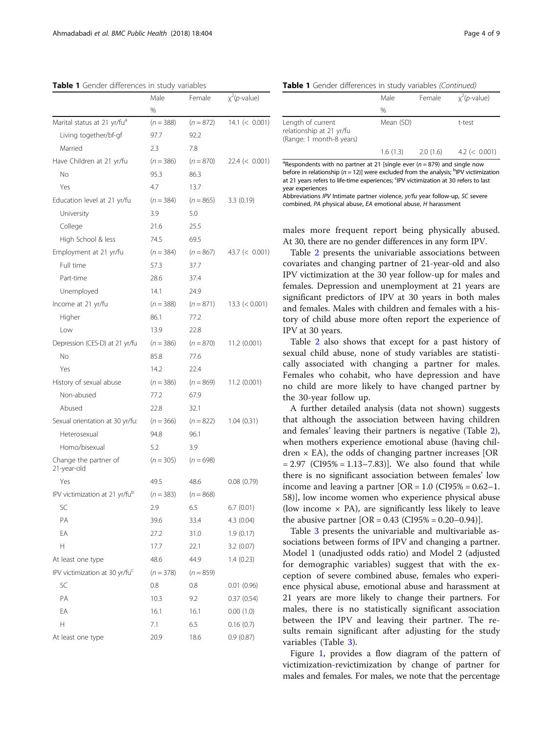|                                            | Male        | Female      | $\chi^2(p$ -value) |
|--------------------------------------------|-------------|-------------|--------------------|
|                                            | %           |             |                    |
| Marital status at 21 yr/fu <sup>a</sup>    | $(n = 388)$ | $(n = 872)$ | 14.1 (< 0.001)     |
| Living together/bf-gf                      | 97.7        | 92.2        |                    |
| Married                                    | 2.3         | 7.8         |                    |
| Have Children at 21 yr/fu                  | $(n = 386)$ | $(n = 870)$ | $22.4 \leq 0.001$  |
| No                                         | 95.3        | 86.3        |                    |
| Yes                                        | 4.7         | 13.7        |                    |
| Education level at 21 yr/fu                | $(n = 384)$ | $(n = 865)$ | 3.3(0.19)          |
| University                                 | 3.9         | 5.0         |                    |
| College                                    | 21.6        | 25.5        |                    |
| High School & less                         | 74.5        | 69.5        |                    |
| Employment at 21 yr/fu                     | $(n = 384)$ | $(n = 867)$ | 43.7 ( $<$ 0.001)  |
| Full time                                  | 57.3        | 37.7        |                    |
| Part-time                                  | 28.6        | 37.4        |                    |
| Unemployed                                 | 14.1        | 24.9        |                    |
| Income at 21 yr/fu                         | $(n = 388)$ | $(n = 871)$ | 13.3 (< 0.001)     |
| Higher                                     | 86.1        | 77.2        |                    |
| Low                                        | 13.9        | 22.8        |                    |
| Depression (CES-D) at 21 yr/fu             | $(n = 386)$ | $(n = 870)$ | 11.2(0.001)        |
| No                                         | 85.8        | 77.6        |                    |
| Yes                                        | 14.2        | 22.4        |                    |
| History of sexual abuse                    | $(n = 386)$ | $(n = 869)$ | 11.2(0.001)        |
| Non-abused                                 | 77.2        | 67.9        |                    |
| Abused                                     | 22.8        | 32.1        |                    |
| Sexual orientation at 30 yr/fu:            | $(n = 366)$ | $(n = 822)$ | 1.04(0.31)         |
| Heterosexual                               | 94.8        | 96.1        |                    |
| Homo/bisexual                              | 5.2         | 3.9         |                    |
| Change the partner of<br>21-year-old       | $(n = 305)$ | $(n = 698)$ |                    |
| Yes                                        | 49.5        | 48.6        | 0.08(0.79)         |
| IPV victimization at 21 yr/fu <sup>p</sup> | $(n = 383)$ | $(n = 868)$ |                    |
| SC                                         | 2.9         | 6.5         | 6.7(0.01)          |
| РA                                         | 39.6        | 33.4        | 4.3(0.04)          |
| EA                                         | 27.2        | 31.0        | 1.9(0.17)          |
| Н                                          | 17.7        | 22.1        | 3.2(0.07)          |
| At least one type                          | 48.6        | 44.9        | 1.4(0.23)          |
| IPV victimization at 30 yr/fu <sup>c</sup> | $(n = 378)$ | $(n = 859)$ |                    |
| SC                                         | 0.8         | 0.8         | 0.01(0.96)         |
| PA                                         | 10.3        | 9.2         | 0.37(0.54)         |
| EA                                         | 16.1        | 16.1        | 0.00(1.0)          |
| Н                                          | 7.1         | 6.5         | 0.16(0.7)          |
| At least one type                          | 20.9        | 18.6        | 0.9(0.87)          |

<span id="page-4-0"></span>Table 1 Gender differences in study variables

Table 1 Gender differences in study variables (Continued)

|                                                                           | Male      | Female   | $x^2(p$ -value) |  |
|---------------------------------------------------------------------------|-----------|----------|-----------------|--|
|                                                                           | $\%$      |          |                 |  |
| Length of current<br>relationship at 21 yr/fu<br>(Range: 1 month-8 years) | Mean (SD) |          | t-test          |  |
|                                                                           | 1.6(1.3)  | 2.0(1.6) | 4.2 (< 0.001)   |  |

<sup>a</sup>Respondents with no partner at 21 [single ever ( $n = 879$ ) and single now before in relationship ( $n = 12$ )] were excluded from the analysis; <sup>b</sup>IPV victimization at 21 years refers to life-time experiences; <sup>c</sup>IPV victimization at 30 refers to last year experiences

Abbreviations IPV Intimate partner violence, yr/fu year follow-up, SC severe combined, PA physical abuse, EA emotional abuse, H harassment

males more frequent report being physically abused. At 30, there are no gender differences in any form IPV.

Table [2](#page-5-0) presents the univariable associations between covariates and changing partner of 21-year-old and also IPV victimization at the 30 year follow-up for males and females. Depression and unemployment at 21 years are significant predictors of IPV at 30 years in both males and females. Males with children and females with a history of child abuse more often report the experience of IPV at 30 years.

Table [2](#page-5-0) also shows that except for a past history of sexual child abuse, none of study variables are statistically associated with changing a partner for males. Females who cohabit, who have depression and have no child are more likely to have changed partner by the 30-year follow up.

A further detailed analysis (data not shown) suggests that although the association between having children and females' leaving their partners is negative (Table [2](#page-5-0)), when mothers experience emotional abuse (having children  $\times$  EA), the odds of changing partner increases [OR  $= 2.97$  (CI95%  $= 1.13 - 7.83$ ). We also found that while there is no significant association between females' low income and leaving a partner  $[OR = 1.0 (CI95\% = 0.62-1.$ 58)], low income women who experience physical abuse (low income  $\times$  PA), are significantly less likely to leave the abusive partner  $[OR = 0.43 (CI95% = 0.20 - 0.94)].$ 

Table [3](#page-6-0) presents the univariable and multivariable associations between forms of IPV and changing a partner. Model 1 (unadjusted odds ratio) and Model 2 (adjusted for demographic variables) suggest that with the exception of severe combined abuse, females who experience physical abuse, emotional abuse and harassment at 21 years are more likely to change their partners. For males, there is no statistically significant association between the IPV and leaving their partner. The results remain significant after adjusting for the study variables (Table [3\)](#page-6-0).

Figure [1](#page-5-0), provides a flow diagram of the pattern of victimization-revictimization by change of partner for males and females. For males, we note that the percentage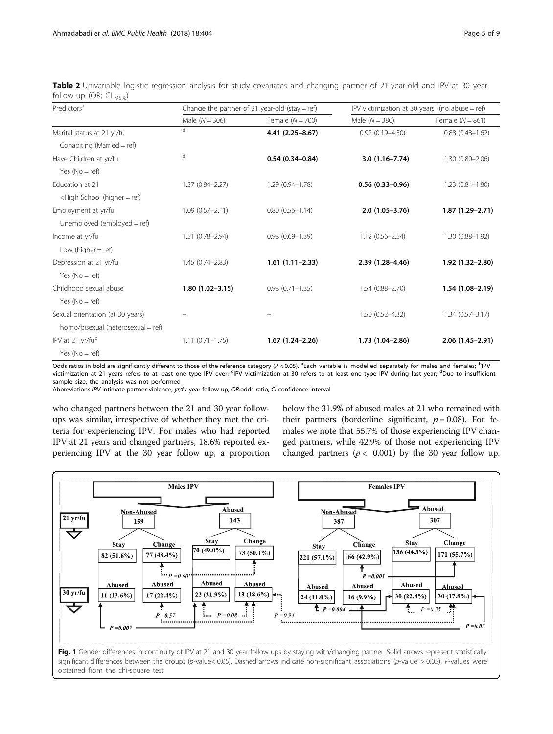| Predictors <sup>a</sup>                                                           | Change the partner of 21 year-old (stay = ref) |                     | IPV victimization at 30 years <sup>c</sup> (no abuse = ref) |                     |  |
|-----------------------------------------------------------------------------------|------------------------------------------------|---------------------|-------------------------------------------------------------|---------------------|--|
|                                                                                   | Male $(N = 306)$                               | Female $(N = 700)$  | Male $(N = 380)$                                            | Female $(N = 861)$  |  |
| Marital status at 21 yr/fu                                                        | d                                              | 4.41 (2.25-8.67)    | $0.92(0.19 - 4.50)$                                         | $0.88(0.48 - 1.62)$ |  |
| Cohabiting (Married = ref)                                                        |                                                |                     |                                                             |                     |  |
| Have Children at yr/fu                                                            | d                                              | $0.54(0.34 - 0.84)$ | $3.0(1.16 - 7.74)$                                          | $1.30(0.80 - 2.06)$ |  |
| Yes $(No = ref)$                                                                  |                                                |                     |                                                             |                     |  |
| Education at 21                                                                   | $1.37(0.84 - 2.27)$                            | 1.29 (0.94-1.78)    | $0.56(0.33 - 0.96)$                                         | $1.23(0.84 - 1.80)$ |  |
| <high (higher="ref)&lt;/td" school=""><td></td><td></td><td></td><td></td></high> |                                                |                     |                                                             |                     |  |
| Employment at yr/fu                                                               | $1.09(0.57 - 2.11)$                            | $0.80(0.56 - 1.14)$ | $2.0(1.05 - 3.76)$                                          | $1.87(1.29 - 2.71)$ |  |
| Unemployed (employed $=$ ref)                                                     |                                                |                     |                                                             |                     |  |
| Income at yr/fu                                                                   | $1.51(0.78 - 2.94)$                            | $0.98(0.69 - 1.39)$ | $1.12(0.56 - 2.54)$                                         | 1.30 (0.88-1.92)    |  |
| Low (higher $=$ ref)                                                              |                                                |                     |                                                             |                     |  |
| Depression at 21 yr/fu                                                            | $1.45(0.74 - 2.83)$                            | $1.61(1.11 - 2.33)$ | 2.39 (1.28-4.46)                                            | 1.92 (1.32-2.80)    |  |
| Yes $(No = ref)$                                                                  |                                                |                     |                                                             |                     |  |
| Childhood sexual abuse                                                            | $1.80(1.02 - 3.15)$                            | $0.98(0.71 - 1.35)$ | $1.54(0.88 - 2.70)$                                         | 1.54 (1.08-2.19)    |  |
| Yes $(No = ref)$                                                                  |                                                |                     |                                                             |                     |  |
| Sexual orientation (at 30 years)                                                  |                                                |                     | $1.50(0.52 - 4.32)$                                         | $1.34(0.57 - 3.17)$ |  |
| homo/bisexual (heterosexual = ref)                                                |                                                |                     |                                                             |                     |  |
| IPV at 21 yr/fub                                                                  | $1.11(0.71 - 1.75)$                            | $1.67(1.24 - 2.26)$ | 1.73 (1.04-2.86)                                            | $2.06(1.45 - 2.91)$ |  |
| Yes $(No = ref)$                                                                  |                                                |                     |                                                             |                     |  |

<span id="page-5-0"></span>Table 2 Univariable logistic regression analysis for study covariates and changing partner of 21-year-old and IPV at 30 year follow-up (OR; CI  $_{95\%}$ )

Odds ratios in bold are significantly different to those of the reference category (P<0.05). <sup>a</sup>Each variable is modelled separately for males and females; <sup>b</sup>IPV victimization at 21 years refers to at least one type IPV ever; <sup>c</sup>IPV victimization at 30 refers to at least one type IPV during last year; <sup>d</sup>Due to insufficient sample size, the analysis was not performed

Abbreviations IPV Intimate partner violence, yr/fu year follow-up, OR:odds ratio, CI confidence interval

who changed partners between the 21 and 30 year followups was similar, irrespective of whether they met the criteria for experiencing IPV. For males who had reported IPV at 21 years and changed partners, 18.6% reported experiencing IPV at the 30 year follow up, a proportion below the 31.9% of abused males at 21 who remained with their partners (borderline significant,  $p = 0.08$ ). For females we note that 55.7% of those experiencing IPV changed partners, while 42.9% of those not experiencing IPV changed partners ( $p < 0.001$ ) by the 30 year follow up.

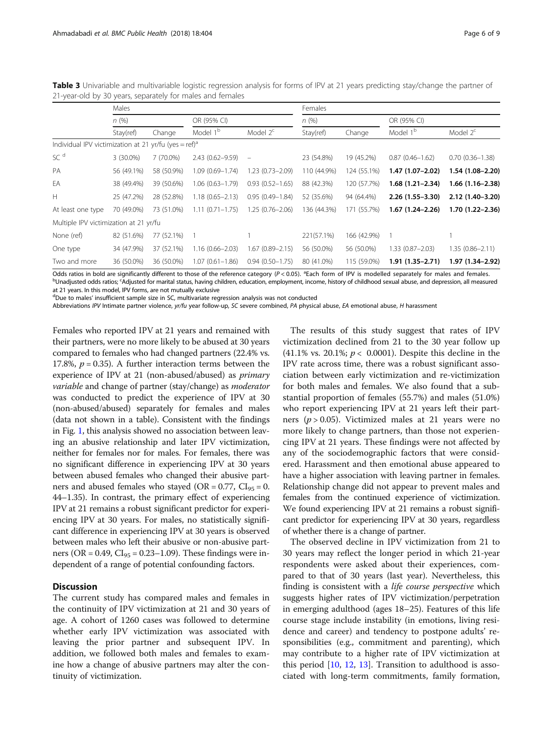|                                                                   | Males       |            |                      | Females             |             |             |                      |                     |
|-------------------------------------------------------------------|-------------|------------|----------------------|---------------------|-------------|-------------|----------------------|---------------------|
|                                                                   | n(%)        |            | OR (95% CI)          |                     | n(%)        |             | OR (95% CI)          |                     |
|                                                                   | Stay(ref)   | Change     | Model 1 <sup>b</sup> | Model $2c$          | Stay(ref)   | Change      | Model 1 <sup>b</sup> | Model $2c$          |
| Individual IPV victimization at 21 yr/fu (yes = ref) <sup>a</sup> |             |            |                      |                     |             |             |                      |                     |
| SC <sup>d</sup>                                                   | $3(30.0\%)$ | 7 (70.0%)  | $2.43(0.62 - 9.59)$  | $\sim$ $-$          | 23 (54.8%)  | 19 (45.2%)  | $0.87(0.46 - 1.62)$  | $0.70(0.36 - 1.38)$ |
| PA                                                                | 56 (49.1%)  | 58 (50.9%) | $1.09(0.69 - 1.74)$  | $1.23(0.73 - 2.09)$ | 110 (44.9%) | 124 (55.1%) | 1.47 (1.07-2.02)     | 1.54 (1.08-2.20)    |
| EA                                                                | 38 (49.4%)  | 39 (50.6%) | $1.06(0.63 - 1.79)$  | $0.93(0.52 - 1.65)$ | 88 (42.3%)  | 120 (57.7%) | $1.68(1.21 - 2.34)$  | $1.66(1.16 - 2.38)$ |
| H.                                                                | 25 (47.2%)  | 28 (52.8%) | $1.18(0.65 - 2.13)$  | $0.95(0.49 - 1.84)$ | 52 (35.6%)  | 94 (64.4%)  | $2.26(1.55 - 3.30)$  | 2.12 (1.40-3.20)    |
| At least one type                                                 | 70 (49.0%)  | 73 (51.0%) | $1.11(0.71 - 1.75)$  | $1.25(0.76 - 2.06)$ | 136 (44.3%) | 171 (55.7%) | $1.67(1.24 - 2.26)$  | 1.70 (1.22-2.36)    |
| Multiple IPV victimization at 21 yr/fu                            |             |            |                      |                     |             |             |                      |                     |
| None (ref)                                                        | 82 (51.6%)  | 77 (52.1%) |                      |                     | 221(57.1%)  | 166 (42.9%) |                      |                     |
| One type                                                          | 34 (47.9%)  | 37 (52.1%) | $1.16(0.66 - 2.03)$  | $1.67(0.89 - 2.15)$ | 56 (50.0%)  | 56 (50.0%)  | $1.33(0.87 - 2.03)$  | $1.35(0.86 - 2.11)$ |
| Two and more                                                      | 36 (50.0%)  | 36 (50.0%) | $1.07(0.61 - 1.86)$  | $0.94(0.50 - 1.75)$ | 80 (41.0%)  | 115 (59.0%) | $1.91(1.35 - 2.71)$  | 1.97 (1.34-2.92)    |

<span id="page-6-0"></span>Table 3 Univariable and multivariable logistic regression analysis for forms of IPV at 21 years predicting stay/change the partner of 21-year-old by 30 years, separately for males and females

Odds ratios in bold are significantly different to those of the reference category  $(P < 0.05)$ . <sup>a</sup> Each form of IPV is modelled separately for males and females.<br><sup>b</sup>Unadjusted odds ratios<sup>, c</sup>adjusted for marital status, Unadjusted odds ratios; <sup>c</sup>Adjusted for marital status, having children, education, employment, income, history of childhood sexual abuse, and depression, all measured at 21 years. In this model, IPV forms, are not mutually exclusive

<sup>d</sup>Due to males' insufficient sample size in SC, multivariate regression analysis was not conducted

Abbreviations IPV Intimate partner violence, yr/fu year follow-up, SC severe combined, PA physical abuse, EA emotional abuse, H harassment

Females who reported IPV at 21 years and remained with their partners, were no more likely to be abused at 30 years compared to females who had changed partners (22.4% vs. 17.8%,  $p = 0.35$ ). A further interaction terms between the experience of IPV at 21 (non-abused/abused) as primary variable and change of partner (stay/change) as moderator was conducted to predict the experience of IPV at 30 (non-abused/abused) separately for females and males (data not shown in a table). Consistent with the findings in Fig. [1,](#page-5-0) this analysis showed no association between leaving an abusive relationship and later IPV victimization, neither for females nor for males. For females, there was no significant difference in experiencing IPV at 30 years between abused females who changed their abusive partners and abused females who stayed (OR =  $0.77$ , CI<sub>95</sub> = 0. 44–1.35). In contrast, the primary effect of experiencing IPV at 21 remains a robust significant predictor for experiencing IPV at 30 years. For males, no statistically significant difference in experiencing IPV at 30 years is observed between males who left their abusive or non-abusive partners (OR = 0.49,  $CI_{95} = 0.23 - 1.09$ ). These findings were independent of a range of potential confounding factors.

#### **Discussion**

The current study has compared males and females in the continuity of IPV victimization at 21 and 30 years of age. A cohort of 1260 cases was followed to determine whether early IPV victimization was associated with leaving the prior partner and subsequent IPV. In addition, we followed both males and females to examine how a change of abusive partners may alter the continuity of victimization.

The results of this study suggest that rates of IPV victimization declined from 21 to the 30 year follow up (41.1% vs. 20.1%;  $p < 0.0001$ ). Despite this decline in the IPV rate across time, there was a robust significant association between early victimization and re-victimization for both males and females. We also found that a substantial proportion of females (55.7%) and males (51.0%) who report experiencing IPV at 21 years left their partners ( $p > 0.05$ ). Victimized males at 21 years were no more likely to change partners, than those not experiencing IPV at 21 years. These findings were not affected by any of the sociodemographic factors that were considered. Harassment and then emotional abuse appeared to have a higher association with leaving partner in females. Relationship change did not appear to prevent males and females from the continued experience of victimization. We found experiencing IPV at 21 remains a robust significant predictor for experiencing IPV at 30 years, regardless of whether there is a change of partner.

The observed decline in IPV victimization from 21 to 30 years may reflect the longer period in which 21-year respondents were asked about their experiences, compared to that of 30 years (last year). Nevertheless, this finding is consistent with a life course perspective which suggests higher rates of IPV victimization/perpetration in emerging adulthood (ages 18–25). Features of this life course stage include instability (in emotions, living residence and career) and tendency to postpone adults' responsibilities (e.g., commitment and parenting), which may contribute to a higher rate of IPV victimization at this period  $[10, 12, 13]$  $[10, 12, 13]$  $[10, 12, 13]$  $[10, 12, 13]$  $[10, 12, 13]$  $[10, 12, 13]$ . Transition to adulthood is associated with long-term commitments, family formation,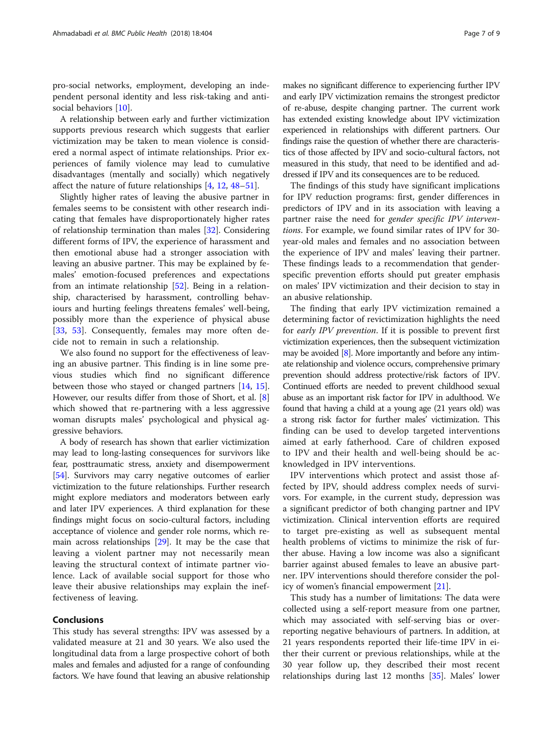pro-social networks, employment, developing an independent personal identity and less risk-taking and antisocial behaviors [\[10](#page-8-0)].

A relationship between early and further victimization supports previous research which suggests that earlier victimization may be taken to mean violence is considered a normal aspect of intimate relationships. Prior experiences of family violence may lead to cumulative disadvantages (mentally and socially) which negatively affect the nature of future relationships [[4,](#page-8-0) [12](#page-8-0), [48](#page-9-0)–[51](#page-9-0)].

Slightly higher rates of leaving the abusive partner in females seems to be consistent with other research indicating that females have disproportionately higher rates of relationship termination than males [[32](#page-9-0)]. Considering different forms of IPV, the experience of harassment and then emotional abuse had a stronger association with leaving an abusive partner. This may be explained by females' emotion-focused preferences and expectations from an intimate relationship [\[52](#page-9-0)]. Being in a relationship, characterised by harassment, controlling behaviours and hurting feelings threatens females' well-being, possibly more than the experience of physical abuse [[33,](#page-9-0) [53\]](#page-9-0). Consequently, females may more often decide not to remain in such a relationship.

We also found no support for the effectiveness of leaving an abusive partner. This finding is in line some previous studies which find no significant difference between those who stayed or changed partners [[14,](#page-8-0) [15](#page-8-0)]. However, our results differ from those of Short, et al. [\[8](#page-8-0)] which showed that re-partnering with a less aggressive woman disrupts males' psychological and physical aggressive behaviors.

A body of research has shown that earlier victimization may lead to long-lasting consequences for survivors like fear, posttraumatic stress, anxiety and disempowerment [[54](#page-9-0)]. Survivors may carry negative outcomes of earlier victimization to the future relationships. Further research might explore mediators and moderators between early and later IPV experiences. A third explanation for these findings might focus on socio-cultural factors, including acceptance of violence and gender role norms, which remain across relationships [[29](#page-9-0)]. It may be the case that leaving a violent partner may not necessarily mean leaving the structural context of intimate partner violence. Lack of available social support for those who leave their abusive relationships may explain the ineffectiveness of leaving.

#### Conclusions

This study has several strengths: IPV was assessed by a validated measure at 21 and 30 years. We also used the longitudinal data from a large prospective cohort of both males and females and adjusted for a range of confounding factors. We have found that leaving an abusive relationship

makes no significant difference to experiencing further IPV and early IPV victimization remains the strongest predictor of re-abuse, despite changing partner. The current work has extended existing knowledge about IPV victimization experienced in relationships with different partners. Our findings raise the question of whether there are characteristics of those affected by IPV and socio-cultural factors, not measured in this study, that need to be identified and addressed if IPV and its consequences are to be reduced.

The findings of this study have significant implications for IPV reduction programs: first, gender differences in predictors of IPV and in its association with leaving a partner raise the need for gender specific IPV interventions. For example, we found similar rates of IPV for 30 year-old males and females and no association between the experience of IPV and males' leaving their partner. These findings leads to a recommendation that genderspecific prevention efforts should put greater emphasis on males' IPV victimization and their decision to stay in an abusive relationship.

The finding that early IPV victimization remained a determining factor of revictimization highlights the need for early IPV prevention. If it is possible to prevent first victimization experiences, then the subsequent victimization may be avoided [\[8](#page-8-0)]. More importantly and before any intimate relationship and violence occurs, comprehensive primary prevention should address protective/risk factors of IPV. Continued efforts are needed to prevent childhood sexual abuse as an important risk factor for IPV in adulthood. We found that having a child at a young age (21 years old) was a strong risk factor for further males' victimization. This finding can be used to develop targeted interventions aimed at early fatherhood. Care of children exposed to IPV and their health and well-being should be acknowledged in IPV interventions.

IPV interventions which protect and assist those affected by IPV, should address complex needs of survivors. For example, in the current study, depression was a significant predictor of both changing partner and IPV victimization. Clinical intervention efforts are required to target pre-existing as well as subsequent mental health problems of victims to minimize the risk of further abuse. Having a low income was also a significant barrier against abused females to leave an abusive partner. IPV interventions should therefore consider the policy of women's financial empowerment [[21](#page-8-0)].

This study has a number of limitations: The data were collected using a self-report measure from one partner, which may associated with self-serving bias or overreporting negative behaviours of partners. In addition, at 21 years respondents reported their life-time IPV in either their current or previous relationships, while at the 30 year follow up, they described their most recent relationships during last 12 months [\[35](#page-9-0)]. Males' lower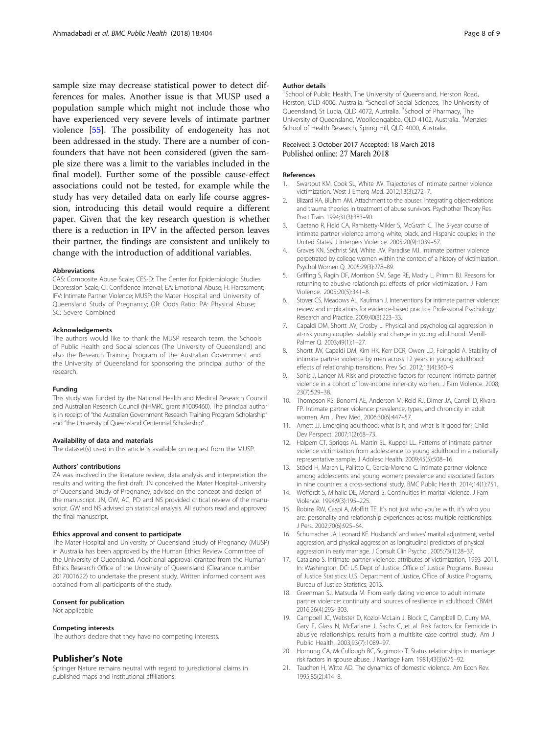<span id="page-8-0"></span>sample size may decrease statistical power to detect differences for males. Another issue is that MUSP used a population sample which might not include those who have experienced very severe levels of intimate partner violence [\[55\]](#page-9-0). The possibility of endogeneity has not been addressed in the study. There are a number of confounders that have not been considered (given the sample size there was a limit to the variables included in the final model). Further some of the possible cause-effect associations could not be tested, for example while the study has very detailed data on early life course aggression, introducing this detail would require a different paper. Given that the key research question is whether there is a reduction in IPV in the affected person leaves their partner, the findings are consistent and unlikely to change with the introduction of additional variables.

#### Abbreviations

CAS: Composite Abuse Scale; CES-D: The Center for Epidemiologic Studies Depression Scale; CI: Confidence Interval; EA: Emotional Abuse; H: Harassment; IPV: Intimate Partner Violence; MUSP: the Mater Hospital and University of Queensland Study of Pregnancy; OR: Odds Ratio; PA: Physical Abuse; SC: Severe Combined

#### Acknowledgements

The authors would like to thank the MUSP research team, the Schools of Public Health and Social sciences (The University of Queensland) and also the Research Training Program of the Australian Government and the University of Queensland for sponsoring the principal author of the research.

#### Funding

This study was funded by the National Health and Medical Research Council and Australian Research Council (NHMRC grant #1009460). The principal author is in receipt of "the Australian Government Research Training Program Scholarship" and "the University of Queensland Centennial Scholarship".

#### Availability of data and materials

The dataset(s) used in this article is available on request from the MUSP.

#### Authors' contributions

ZA was involved in the literature review, data analysis and interpretation the results and writing the first draft. JN conceived the Mater Hospital-University of Queensland Study of Pregnancy, advised on the concept and design of the manuscript. JN, GW, AC, PD and NS provided critical review of the manuscript. GW and NS advised on statistical analysis. All authors read and approved the final manuscript.

#### Ethics approval and consent to participate

The Mater Hospital and University of Queensland Study of Pregnancy (MUSP) in Australia has been approved by the Human Ethics Review Committee of the University of Queensland. Additional approval granted from the Human Ethics Research Office of the University of Queensland (Clearance number 2017001622) to undertake the present study. Written informed consent was obtained from all participants of the study.

#### Consent for publication

Not applicable

#### Competing interests

The authors declare that they have no competing interests.

#### Publisher's Note

Springer Nature remains neutral with regard to jurisdictional claims in published maps and institutional affiliations.

#### Author details

<sup>1</sup>School of Public Health, The University of Queensland, Herston Road, Herston, QLD 4006, Australia. <sup>2</sup>School of Social Sciences, The University of Queensland, St Lucia, QLD 4072, Australia. <sup>3</sup>School of Pharmacy, The University of Queensland, Woolloongabba, QLD 4102, Australia. <sup>4</sup>Menzies School of Health Research, Spring Hill, QLD 4000, Australia.

#### Received: 3 October 2017 Accepted: 18 March 2018 Published online: 27 March 2018

#### References

- 1. Swartout KM, Cook SL, White JW. Trajectories of intimate partner violence victimization. West J Emerg Med. 2012;13(3):272–7.
- 2. Blizard RA, Bluhm AM. Attachment to the abuser: integrating object-relations and trauma theories in treatment of abuse survivors. Psychother Theory Res Pract Train. 1994;31(3):383–90.
- 3. Caetano R, Field CA, Ramisetty-Mikler S, McGrath C. The 5-year course of intimate partner violence among white, black, and Hispanic couples in the United States. J Interpers Violence. 2005;20(9):1039–57.
- 4. Graves KN, Sechrist SM, White JW, Paradise MJ. Intimate partner violence perpetrated by college women within the context of a history of victimization. Psychol Women Q. 2005;29(3):278–89.
- 5. Griffing S, Ragin DF, Morrison SM, Sage RE, Madry L, Primm BJ. Reasons for returning to abusive relationships: effects of prior victimization. J Fam Violence. 2005;20(5):341–8.
- 6. Stover CS, Meadows AL, Kaufman J. Interventions for intimate partner violence: review and implications for evidence-based practice. Professional Psychology: Research and Practice. 2009;40(3):223–33.
- 7. Capaldi DM, Shortt JW, Crosby L. Physical and psychological aggression in at-risk young couples: stability and change in young adulthood. Merrill-Palmer Q. 2003;49(1):1–27.
- 8. Shortt JW, Capaldi DM, Kim HK, Kerr DCR, Owen LD, Feingold A. Stability of intimate partner violence by men across 12 years in young adulthood: effects of relationship transitions. Prev Sci. 2012;13(4):360–9.
- Sonis J, Langer M. Risk and protective factors for recurrent intimate partner violence in a cohort of low-income inner-city women. J Fam Violence. 2008; 23(7):529–38.
- 10. Thompson RS, Bonomi AE, Anderson M, Reid RJ, Dimer JA, Carrell D, Rivara FP. Intimate partner violence: prevalence, types, and chronicity in adult women. Am J Prev Med. 2006;30(6):447–57.
- 11. Arnett JJ. Emerging adulthood: what is it, and what is it good for? Child Dev Perspect. 2007;1(2):68–73.
- 12. Halpern CT, Spriggs AL, Martin SL, Kupper LL. Patterns of intimate partner violence victimization from adolescence to young adulthood in a nationally representative sample. J Adolesc Health. 2009;45(5):508–16.
- 13. Stöckl H, March L, Pallitto C, Garcia-Moreno C. Intimate partner violence among adolescents and young women: prevalence and associated factors in nine countries: a cross-sectional study. BMC Public Health. 2014;14(1):751.
- 14. Woffordt S, Mihalic DE, Menard S. Continuities in marital violence. J Fam Violence. 1994;9(3):195–225.
- 15. Robins RW, Caspi A, Moffitt TE. It's not just who you're with, it's who you are: personality and relationship experiences across multiple relationships. J Pers. 2002;70(6):925–64.
- 16. Schumacher JA, Leonard KE. Husbands' and wives' marital adjustment, verbal aggression, and physical aggression as longitudinal predictors of physical aggression in early marriage. J Consult Clin Psychol. 2005;73(1):28–37.
- 17. Catalano S. Intimate partner violence: attributes of victimization, 1993–2011. In: Washington, DC: US Dept of Justice, Office of Justice Programs, Bureau of Justice Statistics: U.S. Department of Justice, Office of Justice Programs, Bureau of Justice Statistics; 2013.
- 18. Greenman SJ, Matsuda M. From early dating violence to adult intimate partner violence: continuity and sources of resilience in adulthood. CBMH. 2016;26(4):293–303.
- 19. Campbell JC, Webster D, Koziol-McLain J, Block C, Campbell D, Curry MA, Gary F, Glass N, McFarlane J, Sachs C, et al. Risk factors for Femicide in abusive relationships: results from a multisite case control study. Am J Public Health. 2003;93(7):1089–97.
- 20. Hornung CA, McCullough BC, Sugimoto T. Status relationships in marriage: risk factors in spouse abuse. J Marriage Fam. 1981;43(3):675–92.
- 21. Tauchen H, Witte AD. The dynamics of domestic violence. Am Econ Rev. 1995;85(2):414–8.